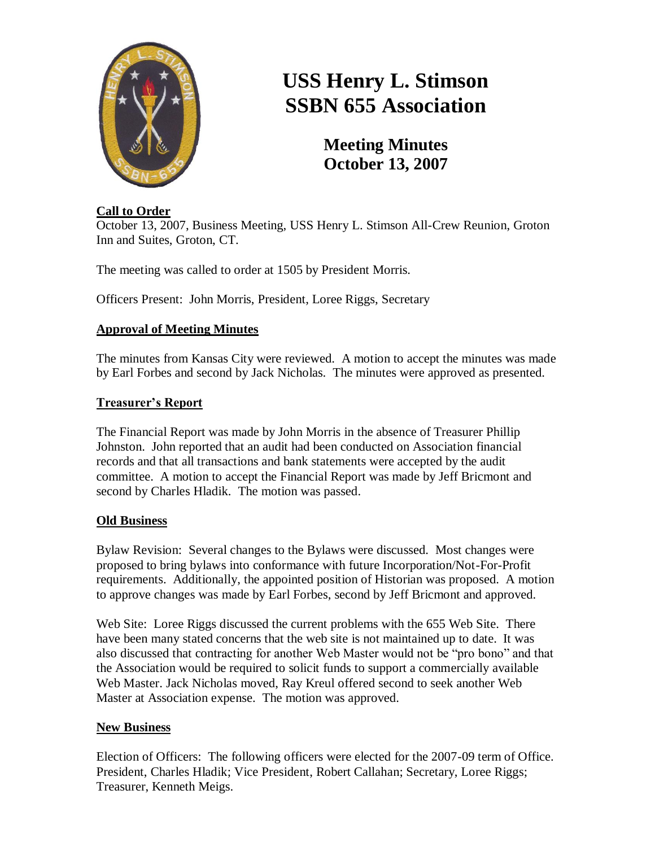

# **USS Henry L. Stimson SSBN 655 Association**

**Meeting Minutes October 13, 2007**

## **Call to Order**

October 13, 2007, Business Meeting, USS Henry L. Stimson All-Crew Reunion, Groton Inn and Suites, Groton, CT.

The meeting was called to order at 1505 by President Morris.

Officers Present: John Morris, President, Loree Riggs, Secretary

## **Approval of Meeting Minutes**

The minutes from Kansas City were reviewed. A motion to accept the minutes was made by Earl Forbes and second by Jack Nicholas. The minutes were approved as presented.

## **Treasurer's Report**

The Financial Report was made by John Morris in the absence of Treasurer Phillip Johnston. John reported that an audit had been conducted on Association financial records and that all transactions and bank statements were accepted by the audit committee. A motion to accept the Financial Report was made by Jeff Bricmont and second by Charles Hladik. The motion was passed.

#### **Old Business**

Bylaw Revision: Several changes to the Bylaws were discussed. Most changes were proposed to bring bylaws into conformance with future Incorporation/Not-For-Profit requirements. Additionally, the appointed position of Historian was proposed. A motion to approve changes was made by Earl Forbes, second by Jeff Bricmont and approved.

Web Site: Loree Riggs discussed the current problems with the 655 Web Site. There have been many stated concerns that the web site is not maintained up to date. It was also discussed that contracting for another Web Master would not be "pro bono" and that the Association would be required to solicit funds to support a commercially available Web Master. Jack Nicholas moved, Ray Kreul offered second to seek another Web Master at Association expense. The motion was approved.

## **New Business**

Election of Officers: The following officers were elected for the 2007-09 term of Office. President, Charles Hladik; Vice President, Robert Callahan; Secretary, Loree Riggs; Treasurer, Kenneth Meigs.